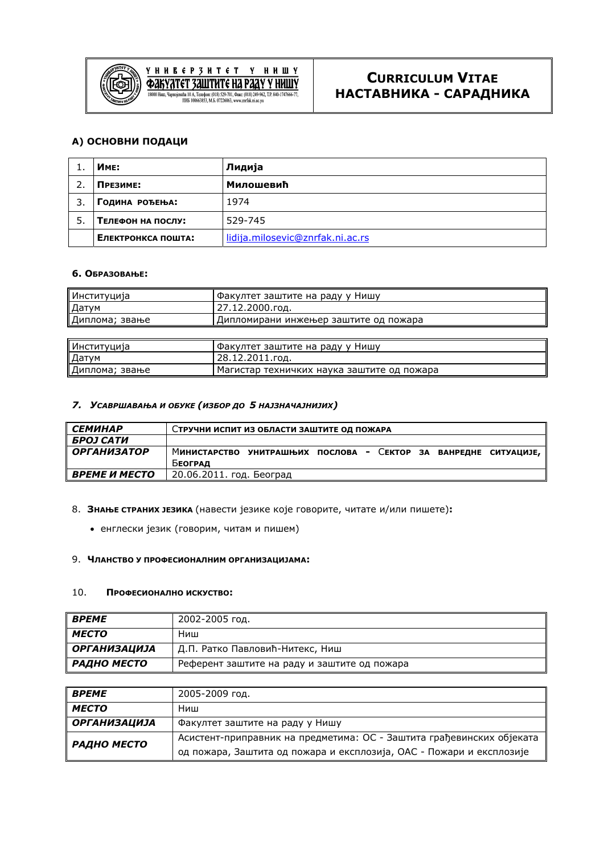

**Y** H H E **E** P 3 H T **E** T Y H H III Y<br> **COLLY YATET 3 ALLITHTE HA PAAY Y HHILLY**<br> **EXPORTED THE CONSTRAINAL CONSTRAINS** M.B. 07226063 www.znrfak.ni.ac.vn

# **А) ОСНОВНИ ПОДАЦИ**

|    | Име:               | Лидија                           |
|----|--------------------|----------------------------------|
|    | Презиме:           | Милошевић                        |
|    | ГОДИНА РОЂЕЊА:     | 1974                             |
| 5. | Телефон на послу:  | 529-745                          |
|    | Електронкса пошта: | lidija.milosevic@znrfak.ni.ac.rs |

## **6. ОБРАЗОВАЊЕ:**

| Институција     | Факултет заштите на раду у Нишу            |
|-----------------|--------------------------------------------|
| Датум           | 27.12.2000.год.                            |
| Диплома; звање  | Дипломирани инжењер заштите од пожара      |
|                 |                                            |
| Институција     | Факултет заштите на раду у Нишу            |
| ∥Датум          | 28.12.2011.год.                            |
| ∥Диплома; звање | Магистар техничких наука заштите од пожара |

### *7. УСАВРШАВАЊА И ОБУКЕ (ИЗБОР ДО 5 НАЈЗНАЧАЈНИЈИХ)*

| <b>СЕМИНАР</b>     | Стручни испит из области заштите од пожара                      |
|--------------------|-----------------------------------------------------------------|
| БРОЈ САТИ          |                                                                 |
| <b>ОРГАНИЗАТОР</b> | Министарство унитрашњих послова - Сектор за ванредне ситуације, |
|                    | Београд                                                         |
| ВРЕМЕ И МЕСТО      | 20.06.2011. год. Београд                                        |

#### 8. **ЗНАЊЕ СТРАНИХ ЈЕЗИКА** (навести језике које говорите, читате и/или пишете)**:**

• енглески језик (говорим, читам и пишем)

#### 9. **ЧЛАНСТВО У ПРОФЕСИОНАЛНИМ ОРГАНИЗАЦИЈАМА:**

#### 10. **ПРОФЕСИОНАЛНО ИСКУСТВО:**

| <b>BPEME</b>        | 2002-2005 год.                               |
|---------------------|----------------------------------------------|
| <b>MECTO</b>        | Ниш                                          |
| <b>ОРГАНИЗАЦИЈА</b> | Д.П. Ратко Павловић-Нитекс, Ниш              |
| РАДНО МЕСТО         | Референт заштите на раду и заштите од пожара |

| <b>BPEME</b>        | 2005-2009 год.                                                        |
|---------------------|-----------------------------------------------------------------------|
| <b>MECTO</b>        | Ниш                                                                   |
| <b>ОРГАНИЗАЦИЈА</b> | Факултет заштите на раду у Нишу                                       |
| РАДНО МЕСТО         | Асистент-приправник на предметима: ОС - Заштита грађевинских објеката |
|                     | од пожара, Заштита од пожара и експлозија, ОАС - Пожари и експлозије  |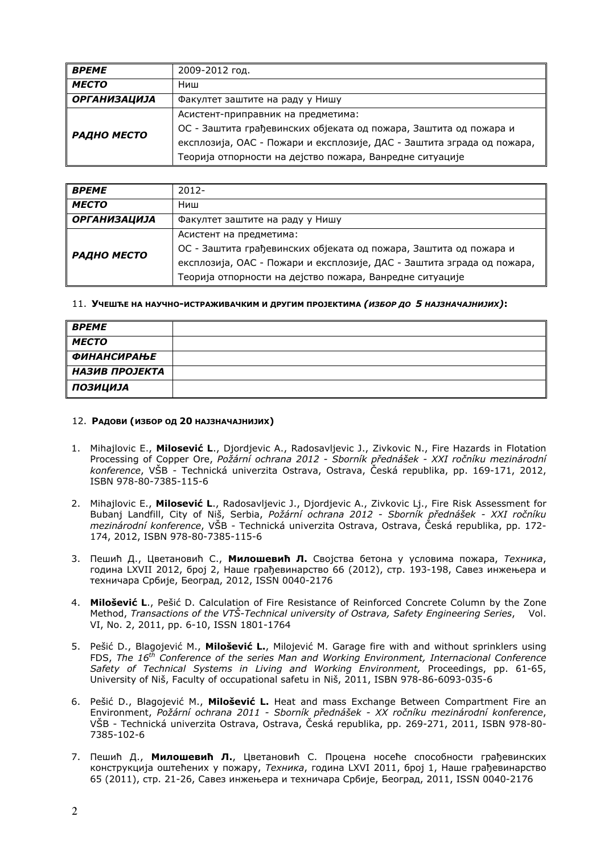| <b>BPEME</b> | 2009-2012 год.                                                         |
|--------------|------------------------------------------------------------------------|
| <b>MECTO</b> | Ниш                                                                    |
| ОРГАНИЗАЦИЈА | Факултет заштите на раду у Нишу                                        |
|              | Асистент-приправник на предметима:                                     |
| РАДНО МЕСТО  | ОС - Заштита грађевинских објеката од пожара, Заштита од пожара и      |
|              | експлозија, ОАС - Пожари и експлозије, ДАС - Заштита зграда од пожара, |
|              | Теорија отпорности на дејство пожара, Ванредне ситуације               |

| <b>BPEME</b>       | $2012 -$                                                               |
|--------------------|------------------------------------------------------------------------|
| <b>MECTO</b>       | Ниш                                                                    |
| ОРГАНИЗАЦИЈА       | Факултет заштите на раду у Нишу                                        |
|                    | Асистент на предметима:                                                |
| <b>РАДНО МЕСТО</b> | ОС - Заштита грађевинских објеката од пожара, Заштита од пожара и      |
|                    | експлозија, ОАС - Пожари и експлозије, ДАС - Заштита зграда од пожара, |
|                    | Теорија отпорности на дејство пожара, Ванредне ситуације               |

#### 11. **УЧЕШЋЕ НА НАУЧНО-ИСТРАЖИВАЧКИМ И ДРУГИМ ПРОЈЕКТИМА** *(ИЗБОР ДО 5 НАЈЗНАЧАЈНИЈИХ)***:**

| <b>BPEME</b>       |  |
|--------------------|--|
| <b>MECTO</b>       |  |
| <b>ФИНАНСИРАЊЕ</b> |  |
| НАЗИВ ПРОЈЕКТА     |  |
| <b>ПОЗИЦИЈА</b>    |  |

#### 12. **РАДОВИ (ИЗБОР ОД 20 НАЈЗНАЧАЈНИЈИХ)**

- 1. Mihajlovic E., **Milosević L**., Djordjevic A., Radosavljevic J., Zivkovic N., Fire Hazards in Flotation Processing of Copper Ore, *Požární ochrana 2012 - Sborník přednášek - XXI ročníku mezinárodní konference*, VŠB - Technická univerzita Ostrava, Ostrava, Česká republika, pp. 169-171, 2012, ISBN 978-80-7385-115-6
- 2. Mihajlovic E., **Milosević L**., Radosavljevic J., Djordjevic A., Zivkovic Lj., Fire Risk Assessment for Bubanj Landfill, City of Niš, Serbia, *Požární ochrana 2012 - Sborník přednášek - XXI ročníku mezinárodní konference*, VŠB - Technická univerzita Ostrava, Ostrava, Česká republika, pp. 172- 174, 2012, ISBN 978-80-7385-115-6
- 3. Пешић Д., Цветановић С., **Милошевић Л.** Својства бетона у условима пожара, *Техника*, година LXVII 2012, број 2, Наше грађевинарство 66 (2012), стр. 193-198, Савез инжењера и техничара Србије, Београд, 2012, ISSN 0040-2176
- 4. **Milošević L**., Pešić D. Calculation of Fire Resistance of Reinforced Concrete Column by the Zone Method, *Transactions of the VTŠ-Technical university of Ostrava, Safety Engineering Series*, Vol. VI, No. 2, 2011, pp. 6-10, ISSN 1801-1764
- 5. Pešić D., Blagojević M., **Milošević L.**, Milojević M. Garage fire with and without sprinklers using FDS, *The 16th Conference of the series Man and Working Environment, Internacional Conference Safety of Technical Systems in Living and Working Environment,* Proceedings, pp. 61-65, University of Niš, Faculty of occupational safetu in Niš, 2011, ISBN 978-86-6093-035-6
- 6. Pešić D., Blagojević M., **Milošević L.** Heat and mass Exchange Between Compartment Fire an Environment, *Požární ochrana 2011 - Sborník přednášek - XX ročníku mezinárodní konference*, VŠB - Technická univerzita Ostrava, Ostrava, Česká republika, pp. 269-271, 2011, ISBN 978-80- 7385-102-6
- 7. Пешић Д., **Милошевић Л.**, Цветановић С. Процена носеће способности грађевинских конструкција оштећених у пожару, *Техника*, година LXVI 2011, број 1, Наше грађевинарство 65 (2011), стр. 21-26, Савез инжењера и техничара Србије, Београд, 2011, ISSN 0040-2176